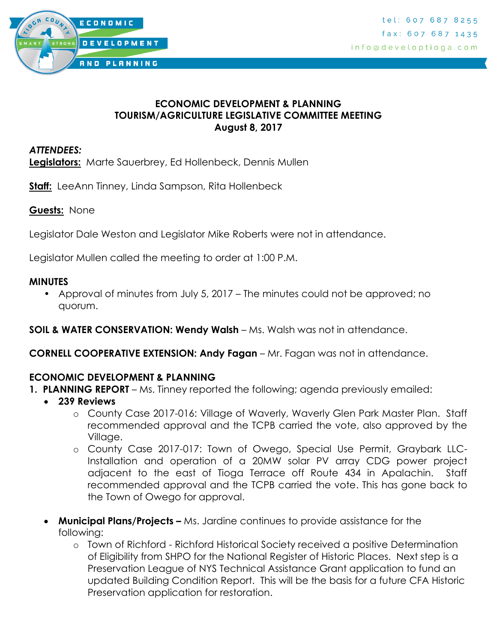

### **ECONOMIC DEVELOPMENT & PLANNING TOURISM/AGRICULTURE LEGISLATIVE COMMITTEE MEETING August 8, 2017**

### *ATTENDEES:*

**Legislators:** Marte Sauerbrey, Ed Hollenbeck, Dennis Mullen

**Staff:** LeeAnn Tinney, Linda Sampson, Rita Hollenbeck

**Guests:** None

Legislator Dale Weston and Legislator Mike Roberts were not in attendance.

Legislator Mullen called the meeting to order at 1:00 P.M.

#### **MINUTES**

• Approval of minutes from July 5, 2017 – The minutes could not be approved; no quorum.

**SOIL & WATER CONSERVATION: Wendy Walsh** – Ms. Walsh was not in attendance.

**CORNELL COOPERATIVE EXTENSION: Andy Fagan** – Mr. Fagan was not in attendance.

### **ECONOMIC DEVELOPMENT & PLANNING**

- **1. PLANNING REPORT** Ms. Tinney reported the following; agenda previously emailed:
	- **239 Reviews**
		- o County Case 2017-016: Village of Waverly, Waverly Glen Park Master Plan. Staff recommended approval and the TCPB carried the vote, also approved by the Village.
		- o County Case 2017-017: Town of Owego, Special Use Permit, Graybark LLC-Installation and operation of a 20MW solar PV array CDG power project adjacent to the east of Tioga Terrace off Route 434 in Apalachin. Staff recommended approval and the TCPB carried the vote. This has gone back to the Town of Owego for approval.
	- **Municipal Plans/Projects –** Ms. Jardine continues to provide assistance for the following:
		- o Town of Richford Richford Historical Society received a positive Determination of Eligibility from SHPO for the National Register of Historic Places. Next step is a Preservation League of NYS Technical Assistance Grant application to fund an updated Building Condition Report. This will be the basis for a future CFA Historic Preservation application for restoration.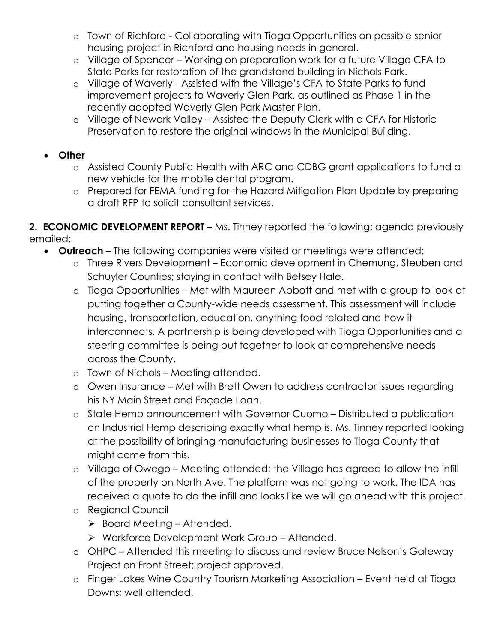- o Town of Richford Collaborating with Tioga Opportunities on possible senior housing project in Richford and housing needs in general.
- o Village of Spencer Working on preparation work for a future Village CFA to State Parks for restoration of the grandstand building in Nichols Park.
- o Village of Waverly Assisted with the Village's CFA to State Parks to fund improvement projects to Waverly Glen Park, as outlined as Phase 1 in the recently adopted Waverly Glen Park Master Plan.
- o Village of Newark Valley Assisted the Deputy Clerk with a CFA for Historic Preservation to restore the original windows in the Municipal Building.

## **Other**

- o Assisted County Public Health with ARC and CDBG grant applications to fund a new vehicle for the mobile dental program.
- o Prepared for FEMA funding for the Hazard Mitigation Plan Update by preparing a draft RFP to solicit consultant services.

**2. ECONOMIC DEVELOPMENT REPORT –** Ms. Tinney reported the following; agenda previously emailed:

- **Outreach** The following companies were visited or meetings were attended:
	- o Three Rivers Development Economic development in Chemung, Steuben and Schuyler Counties; staying in contact with Betsey Hale.
	- o Tioga Opportunities Met with Maureen Abbott and met with a group to look at putting together a County-wide needs assessment. This assessment will include housing, transportation, education, anything food related and how it interconnects. A partnership is being developed with Tioga Opportunities and a steering committee is being put together to look at comprehensive needs across the County.
	- o Town of Nichols Meeting attended.
	- o Owen Insurance Met with Brett Owen to address contractor issues regarding his NY Main Street and Façade Loan.
	- o State Hemp announcement with Governor Cuomo Distributed a publication on Industrial Hemp describing exactly what hemp is. Ms. Tinney reported looking at the possibility of bringing manufacturing businesses to Tioga County that might come from this.
	- o Village of Owego Meeting attended; the Village has agreed to allow the infill of the property on North Ave. The platform was not going to work. The IDA has received a quote to do the infill and looks like we will go ahead with this project.
	- o Regional Council
		- $\triangleright$  Board Meeting Attended.
		- ▶ Workforce Development Work Group Attended.
	- o OHPC Attended this meeting to discuss and review Bruce Nelson's Gateway Project on Front Street; project approved.
	- o Finger Lakes Wine Country Tourism Marketing Association Event held at Tioga Downs; well attended.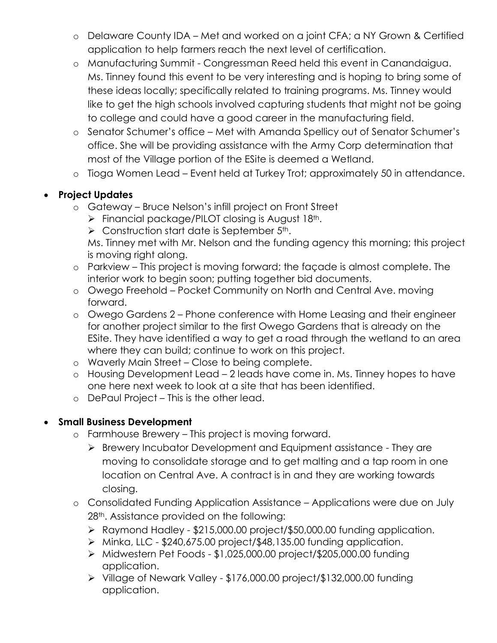- o Delaware County IDA Met and worked on a joint CFA; a NY Grown & Certified application to help farmers reach the next level of certification.
- o Manufacturing Summit Congressman Reed held this event in Canandaigua. Ms. Tinney found this event to be very interesting and is hoping to bring some of these ideas locally; specifically related to training programs. Ms. Tinney would like to get the high schools involved capturing students that might not be going to college and could have a good career in the manufacturing field.
- o Senator Schumer's office Met with Amanda Spellicy out of Senator Schumer's office. She will be providing assistance with the Army Corp determination that most of the Village portion of the ESite is deemed a Wetland.
- o Tioga Women Lead Event held at Turkey Trot; approximately 50 in attendance.

# **Project Updates**

- o Gateway Bruce Nelson's infill project on Front Street
	- $\triangleright$  Financial package/PILOT closing is August 18<sup>th</sup>.
	- $\triangleright$  Construction start date is September 5<sup>th</sup>.

Ms. Tinney met with Mr. Nelson and the funding agency this morning; this project is moving right along.

- o Parkview This project is moving forward; the façade is almost complete. The interior work to begin soon; putting together bid documents.
- o Owego Freehold Pocket Community on North and Central Ave. moving forward.
- o Owego Gardens 2 Phone conference with Home Leasing and their engineer for another project similar to the first Owego Gardens that is already on the ESite. They have identified a way to get a road through the wetland to an area where they can build; continue to work on this project.
- o Waverly Main Street Close to being complete.
- o Housing Development Lead 2 leads have come in. Ms. Tinney hopes to have one here next week to look at a site that has been identified.
- o DePaul Project This is the other lead.

## **Small Business Development**

- o Farmhouse Brewery This project is moving forward.
	- Brewery Incubator Development and Equipment assistance They are moving to consolidate storage and to get malting and a tap room in one location on Central Ave. A contract is in and they are working towards closing.
- o Consolidated Funding Application Assistance Applications were due on July 28<sup>th</sup>. Assistance provided on the following:
	- Raymond Hadley \$215,000.00 project/\$50,000.00 funding application.
	- $\triangleright$  Minka, LLC \$240,675.00 project/\$48,135.00 funding application.
	- Midwestern Pet Foods \$1,025,000.00 project/\$205,000.00 funding application.
	- Village of Newark Valley \$176,000.00 project/\$132,000.00 funding application.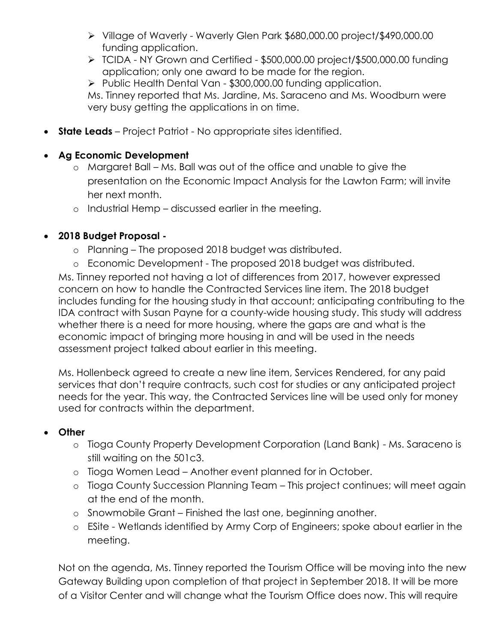- Village of Waverly Waverly Glen Park \$680,000.00 project/\$490,000.00 funding application.
- TCIDA NY Grown and Certified \$500,000.00 project/\$500,000.00 funding application; only one award to be made for the region.
- ▶ Public Health Dental Van \$300,000.00 funding application.

Ms. Tinney reported that Ms. Jardine, Ms. Saraceno and Ms. Woodburn were very busy getting the applications in on time.

**State Leads** – Project Patriot - No appropriate sites identified.

## **Ag Economic Development**

- o Margaret Ball Ms. Ball was out of the office and unable to give the presentation on the Economic Impact Analysis for the Lawton Farm; will invite her next month.
- o Industrial Hemp discussed earlier in the meeting.

## **2018 Budget Proposal -**

- o Planning The proposed 2018 budget was distributed.
- o Economic Development The proposed 2018 budget was distributed.

Ms. Tinney reported not having a lot of differences from 2017, however expressed concern on how to handle the Contracted Services line item. The 2018 budget includes funding for the housing study in that account; anticipating contributing to the IDA contract with Susan Payne for a county-wide housing study. This study will address whether there is a need for more housing, where the gaps are and what is the economic impact of bringing more housing in and will be used in the needs assessment project talked about earlier in this meeting.

Ms. Hollenbeck agreed to create a new line item, Services Rendered, for any paid services that don't require contracts, such cost for studies or any anticipated project needs for the year. This way, the Contracted Services line will be used only for money used for contracts within the department.

### **Other**

- o Tioga County Property Development Corporation (Land Bank) Ms. Saraceno is still waiting on the 501c3.
- o Tioga Women Lead Another event planned for in October.
- o Tioga County Succession Planning Team This project continues; will meet again at the end of the month.
- o Snowmobile Grant Finished the last one, beginning another.
- o ESite Wetlands identified by Army Corp of Engineers; spoke about earlier in the meeting.

Not on the agenda, Ms. Tinney reported the Tourism Office will be moving into the new Gateway Building upon completion of that project in September 2018. It will be more of a Visitor Center and will change what the Tourism Office does now. This will require